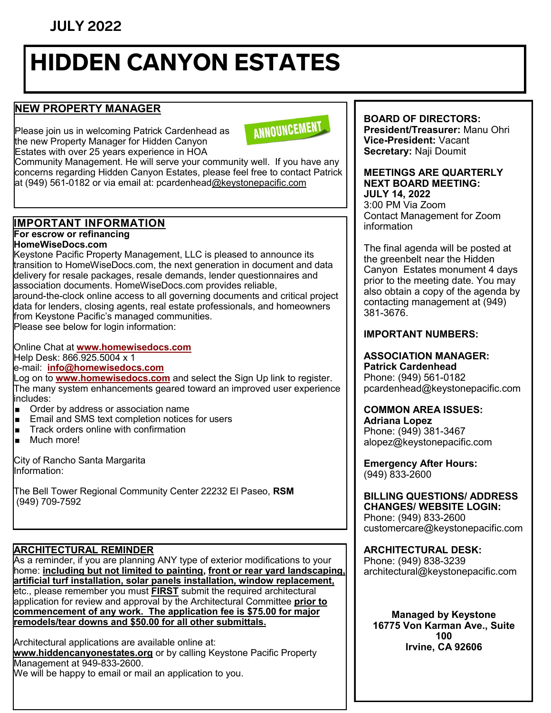# **JULY 2022**

# HIDDEN CANYON ESTATES

# **NEW PROPERTY MANAGER**

Please join us in welcoming Patrick Cardenhead as the new Property Manager for Hidden Canyon Estates with over 25 years experience in HOA

ANNOUNCEMENT

Community Management. He will serve your community well. If you have any concerns regarding Hidden Canyon Estates, please feel free to contact Patrick at (949) 561-0182 or via email at: pcardenhea[d@keystonepacific.com](mailto:rarroyo@keystonepacific.com)

# **IMPORTANT INFORMATION**

**For escrow or refinancing**

#### **HomeWiseDocs.com**

Keystone Pacific Property Management, LLC is pleased to announce its transition to HomeWiseDocs.com, the next generation in document and data delivery for resale packages, resale demands, lender questionnaires and association documents. HomeWiseDocs.com provides reliable, around-the-clock online access to all governing documents and critical project data for lenders, closing agents, real estate professionals, and homeowners from Keystone Pacific's managed communities.

Please see below for login information:

Online Chat at **[www.homewisedocs.com](http://www.homewisedocs.com)** Help Desk: 866.925.5004 x 1

#### e-mail: **[info@homewisedocs.com](mailto:info@homewisedocs.com)**

Log on to **[www.homewisedocs.com](http://www.homewisedocs.com)** and select the Sign Up link to register. The many system enhancements geared toward an improved user experience includes:

- **Order by address or association name**
- **Email and SMS text completion notices for users**
- Track orders online with confirmation
- Much more!

City of Rancho Santa Margarita Information:

The Bell Tower Regional Community Center 22232 El Paseo, **RSM** (949) 709-7592

#### **ARCHITECTURAL REMINDER**

As a reminder, if you are planning ANY type of exterior modifications to your home: **including but not limited to painting, front or rear yard landscaping, artificial turf installation, solar panels installation, window replacement,** etc., please remember you must **FIRST** submit the required architectural application for review and approval by the Architectural Committee **prior to commencement of any work. The application fee is \$75.00 for major remodels/tear downs and \$50.00 for all other submittals.** 

Architectural applications are available online at: **www.hiddencanyonestates.org** or by calling Keystone Pacific Property Management at 949-833-2600.

We will be happy to email or mail an application to you.

#### **BOARD OF DIRECTORS: President/Treasurer:** Manu Ohri **Vice-President:** Vacant

**Secretary:** Naji Doumit

**MEETINGS ARE QUARTERLY NEXT BOARD MEETING: JULY 14, 2022**  3:00 PM Via Zoom Contact Management for Zoom information

The final agenda will be posted at the greenbelt near the Hidden Canyon Estates monument 4 days prior to the meeting date. You may also obtain a copy of the agenda by contacting management at (949) 381-3676.

#### **IMPORTANT NUMBERS:**

**ASSOCIATION MANAGER: Patrick Cardenhead** Phone: (949) 561-0182 pcardenhead@keystonepacific.com

#### **COMMON AREA ISSUES:**

**Adriana Lopez** Phone: (949) 381-3467 alopez@keystonepacific.com

**Emergency After Hours:**  (949) 833-2600

**BILLING QUESTIONS/ ADDRESS CHANGES/ WEBSITE LOGIN:** Phone: (949) 833-2600 customercare@keystonepacific.com

## **ARCHITECTURAL DESK:**

Phone: (949) 838-3239 architectural@keystonepacific.com

**Managed by Keystone 16775 Von Karman Ave., Suite 100 Irvine, CA 92606**